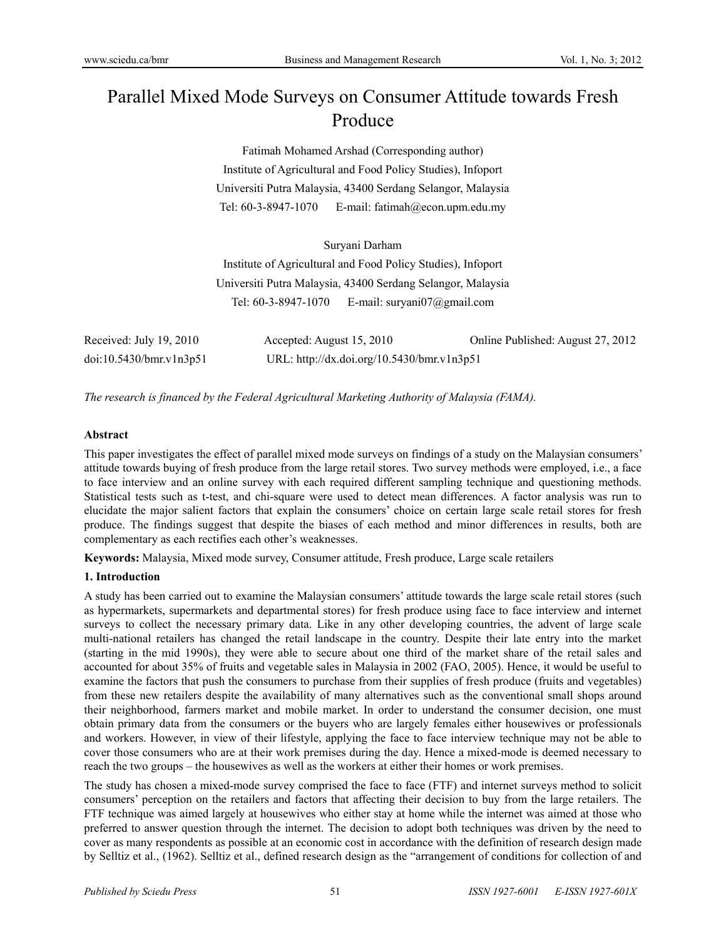# Parallel Mixed Mode Surveys on Consumer Attitude towards Fresh Produce

Fatimah Mohamed Arshad (Corresponding author) Institute of Agricultural and Food Policy Studies), Infoport Universiti Putra Malaysia, 43400 Serdang Selangor, Malaysia Tel: 60-3-8947-1070 E-mail: fatimah@econ.upm.edu.my

Suryani Darham Institute of Agricultural and Food Policy Studies), Infoport Universiti Putra Malaysia, 43400 Serdang Selangor, Malaysia Tel: 60-3-8947-1070 E-mail: suryani07@gmail.com

| Received: July 19, 2010 | Accepted: August 15, 2010                  | Online Published: August 27, 2012 |
|-------------------------|--------------------------------------------|-----------------------------------|
| doi:10.5430/bmr.v1n3p51 | URL: http://dx.doi.org/10.5430/bmr.v1n3p51 |                                   |

*The research is financed by the Federal Agricultural Marketing Authority of Malaysia (FAMA).* 

#### **Abstract**

This paper investigates the effect of parallel mixed mode surveys on findings of a study on the Malaysian consumers' attitude towards buying of fresh produce from the large retail stores. Two survey methods were employed, i.e., a face to face interview and an online survey with each required different sampling technique and questioning methods. Statistical tests such as t-test, and chi-square were used to detect mean differences. A factor analysis was run to elucidate the major salient factors that explain the consumers' choice on certain large scale retail stores for fresh produce. The findings suggest that despite the biases of each method and minor differences in results, both are complementary as each rectifies each other's weaknesses.

**Keywords:** Malaysia, Mixed mode survey, Consumer attitude, Fresh produce, Large scale retailers

#### **1. Introduction**

A study has been carried out to examine the Malaysian consumers' attitude towards the large scale retail stores (such as hypermarkets, supermarkets and departmental stores) for fresh produce using face to face interview and internet surveys to collect the necessary primary data. Like in any other developing countries, the advent of large scale multi-national retailers has changed the retail landscape in the country. Despite their late entry into the market (starting in the mid 1990s), they were able to secure about one third of the market share of the retail sales and accounted for about 35% of fruits and vegetable sales in Malaysia in 2002 (FAO, 2005). Hence, it would be useful to examine the factors that push the consumers to purchase from their supplies of fresh produce (fruits and vegetables) from these new retailers despite the availability of many alternatives such as the conventional small shops around their neighborhood, farmers market and mobile market. In order to understand the consumer decision, one must obtain primary data from the consumers or the buyers who are largely females either housewives or professionals and workers. However, in view of their lifestyle, applying the face to face interview technique may not be able to cover those consumers who are at their work premises during the day. Hence a mixed-mode is deemed necessary to reach the two groups – the housewives as well as the workers at either their homes or work premises.

The study has chosen a mixed-mode survey comprised the face to face (FTF) and internet surveys method to solicit consumers' perception on the retailers and factors that affecting their decision to buy from the large retailers. The FTF technique was aimed largely at housewives who either stay at home while the internet was aimed at those who preferred to answer question through the internet. The decision to adopt both techniques was driven by the need to cover as many respondents as possible at an economic cost in accordance with the definition of research design made by Selltiz et al., (1962). Selltiz et al., defined research design as the "arrangement of conditions for collection of and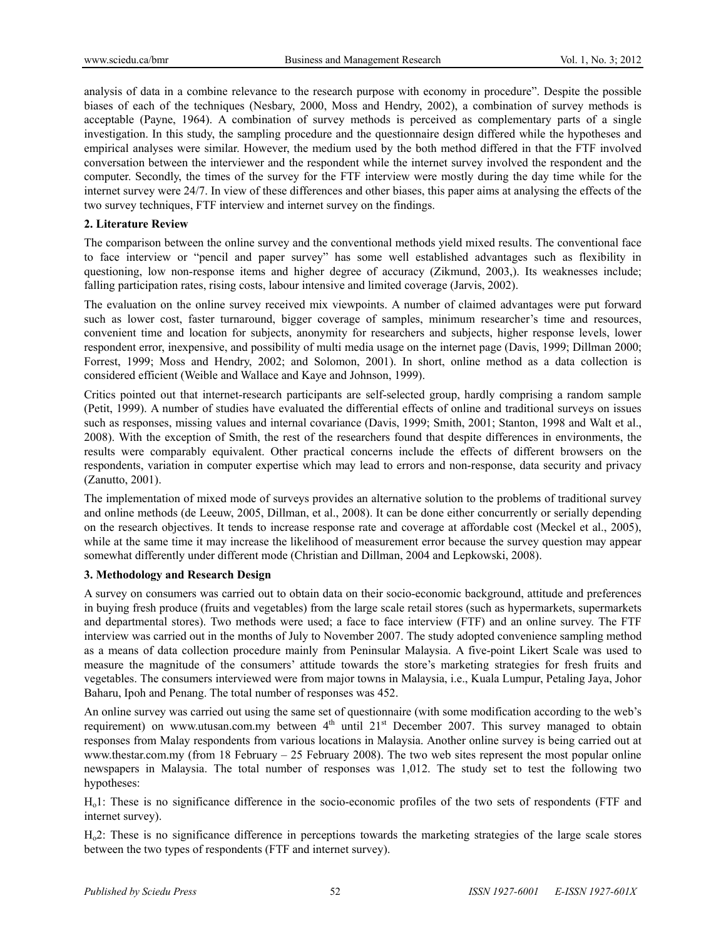analysis of data in a combine relevance to the research purpose with economy in procedure". Despite the possible biases of each of the techniques (Nesbary, 2000, Moss and Hendry, 2002), a combination of survey methods is acceptable (Payne, 1964). A combination of survey methods is perceived as complementary parts of a single investigation. In this study, the sampling procedure and the questionnaire design differed while the hypotheses and empirical analyses were similar. However, the medium used by the both method differed in that the FTF involved conversation between the interviewer and the respondent while the internet survey involved the respondent and the computer. Secondly, the times of the survey for the FTF interview were mostly during the day time while for the internet survey were 24/7. In view of these differences and other biases, this paper aims at analysing the effects of the two survey techniques, FTF interview and internet survey on the findings.

#### **2. Literature Review**

The comparison between the online survey and the conventional methods yield mixed results. The conventional face to face interview or "pencil and paper survey" has some well established advantages such as flexibility in questioning, low non-response items and higher degree of accuracy (Zikmund, 2003,). Its weaknesses include; falling participation rates, rising costs, labour intensive and limited coverage (Jarvis, 2002).

The evaluation on the online survey received mix viewpoints. A number of claimed advantages were put forward such as lower cost, faster turnaround, bigger coverage of samples, minimum researcher's time and resources, convenient time and location for subjects, anonymity for researchers and subjects, higher response levels, lower respondent error, inexpensive, and possibility of multi media usage on the internet page (Davis, 1999; Dillman 2000; Forrest, 1999; Moss and Hendry, 2002; and Solomon, 2001). In short, online method as a data collection is considered efficient (Weible and Wallace and Kaye and Johnson, 1999).

Critics pointed out that internet-research participants are self-selected group, hardly comprising a random sample (Petit, 1999). A number of studies have evaluated the differential effects of online and traditional surveys on issues such as responses, missing values and internal covariance (Davis, 1999; Smith, 2001; Stanton, 1998 and Walt et al., 2008). With the exception of Smith, the rest of the researchers found that despite differences in environments, the results were comparably equivalent. Other practical concerns include the effects of different browsers on the respondents, variation in computer expertise which may lead to errors and non-response, data security and privacy (Zanutto, 2001).

The implementation of mixed mode of surveys provides an alternative solution to the problems of traditional survey and online methods (de Leeuw, 2005, Dillman, et al., 2008). It can be done either concurrently or serially depending on the research objectives. It tends to increase response rate and coverage at affordable cost (Meckel et al., 2005), while at the same time it may increase the likelihood of measurement error because the survey question may appear somewhat differently under different mode (Christian and Dillman, 2004 and Lepkowski, 2008).

#### **3. Methodology and Research Design**

A survey on consumers was carried out to obtain data on their socio-economic background, attitude and preferences in buying fresh produce (fruits and vegetables) from the large scale retail stores (such as hypermarkets, supermarkets and departmental stores). Two methods were used; a face to face interview (FTF) and an online survey. The FTF interview was carried out in the months of July to November 2007. The study adopted convenience sampling method as a means of data collection procedure mainly from Peninsular Malaysia. A five-point Likert Scale was used to measure the magnitude of the consumers' attitude towards the store's marketing strategies for fresh fruits and vegetables. The consumers interviewed were from major towns in Malaysia, i.e., Kuala Lumpur, Petaling Jaya, Johor Baharu, Ipoh and Penang. The total number of responses was 452.

An online survey was carried out using the same set of questionnaire (with some modification according to the web's requirement) on www.utusan.com.my between  $4<sup>th</sup>$  until  $21<sup>st</sup>$  December 2007. This survey managed to obtain responses from Malay respondents from various locations in Malaysia. Another online survey is being carried out at www.thestar.com.my (from 18 February – 25 February 2008). The two web sites represent the most popular online newspapers in Malaysia. The total number of responses was 1,012. The study set to test the following two hypotheses:

Ho1: These is no significance difference in the socio-economic profiles of the two sets of respondents (FTF and internet survey).

Ho2: These is no significance difference in perceptions towards the marketing strategies of the large scale stores between the two types of respondents (FTF and internet survey).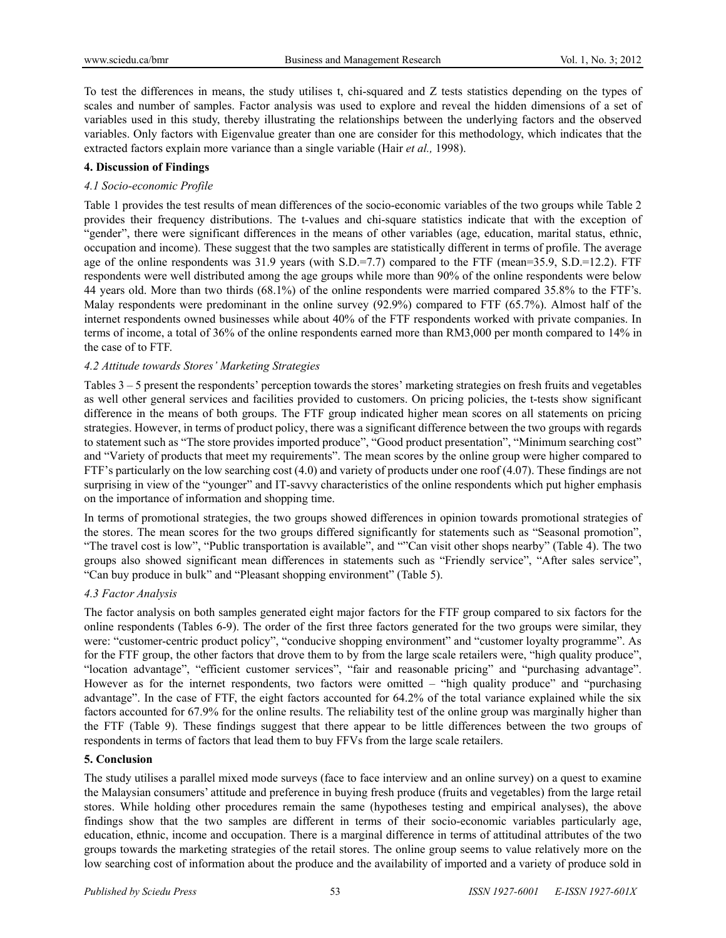To test the differences in means, the study utilises t, chi-squared and Z tests statistics depending on the types of scales and number of samples. Factor analysis was used to explore and reveal the hidden dimensions of a set of variables used in this study, thereby illustrating the relationships between the underlying factors and the observed variables. Only factors with Eigenvalue greater than one are consider for this methodology, which indicates that the extracted factors explain more variance than a single variable (Hair *et al.,* 1998).

#### **4. Discussion of Findings**

#### *4.1 Socio-economic Profile*

Table 1 provides the test results of mean differences of the socio-economic variables of the two groups while Table 2 provides their frequency distributions. The t-values and chi-square statistics indicate that with the exception of "gender", there were significant differences in the means of other variables (age, education, marital status, ethnic, occupation and income). These suggest that the two samples are statistically different in terms of profile. The average age of the online respondents was  $31.9$  years (with  $S.D.=7.7$ ) compared to the FTF (mean=35.9,  $S.D.=12.2$ ). FTF respondents were well distributed among the age groups while more than 90% of the online respondents were below 44 years old. More than two thirds (68.1%) of the online respondents were married compared 35.8% to the FTF's. Malay respondents were predominant in the online survey (92.9%) compared to FTF (65.7%). Almost half of the internet respondents owned businesses while about 40% of the FTF respondents worked with private companies. In terms of income, a total of 36% of the online respondents earned more than RM3,000 per month compared to 14% in the case of to FTF.

#### *4.2 Attitude towards Stores' Marketing Strategies*

Tables 3 – 5 present the respondents' perception towards the stores' marketing strategies on fresh fruits and vegetables as well other general services and facilities provided to customers. On pricing policies, the t-tests show significant difference in the means of both groups. The FTF group indicated higher mean scores on all statements on pricing strategies. However, in terms of product policy, there was a significant difference between the two groups with regards to statement such as "The store provides imported produce", "Good product presentation", "Minimum searching cost" and "Variety of products that meet my requirements". The mean scores by the online group were higher compared to FTF's particularly on the low searching cost (4.0) and variety of products under one roof (4.07). These findings are not surprising in view of the "younger" and IT-savvy characteristics of the online respondents which put higher emphasis on the importance of information and shopping time.

In terms of promotional strategies, the two groups showed differences in opinion towards promotional strategies of the stores. The mean scores for the two groups differed significantly for statements such as "Seasonal promotion", "The travel cost is low", "Public transportation is available", and ""Can visit other shops nearby" (Table 4). The two groups also showed significant mean differences in statements such as "Friendly service", "After sales service", "Can buy produce in bulk" and "Pleasant shopping environment" (Table 5).

#### *4.3 Factor Analysis*

The factor analysis on both samples generated eight major factors for the FTF group compared to six factors for the online respondents (Tables 6-9). The order of the first three factors generated for the two groups were similar, they were: "customer-centric product policy", "conducive shopping environment" and "customer loyalty programme". As for the FTF group, the other factors that drove them to by from the large scale retailers were, "high quality produce", "location advantage", "efficient customer services", "fair and reasonable pricing" and "purchasing advantage". However as for the internet respondents, two factors were omitted – "high quality produce" and "purchasing advantage". In the case of FTF, the eight factors accounted for 64.2% of the total variance explained while the six factors accounted for 67.9% for the online results. The reliability test of the online group was marginally higher than the FTF (Table 9). These findings suggest that there appear to be little differences between the two groups of respondents in terms of factors that lead them to buy FFVs from the large scale retailers.

#### **5. Conclusion**

The study utilises a parallel mixed mode surveys (face to face interview and an online survey) on a quest to examine the Malaysian consumers' attitude and preference in buying fresh produce (fruits and vegetables) from the large retail stores. While holding other procedures remain the same (hypotheses testing and empirical analyses), the above findings show that the two samples are different in terms of their socio-economic variables particularly age, education, ethnic, income and occupation. There is a marginal difference in terms of attitudinal attributes of the two groups towards the marketing strategies of the retail stores. The online group seems to value relatively more on the low searching cost of information about the produce and the availability of imported and a variety of produce sold in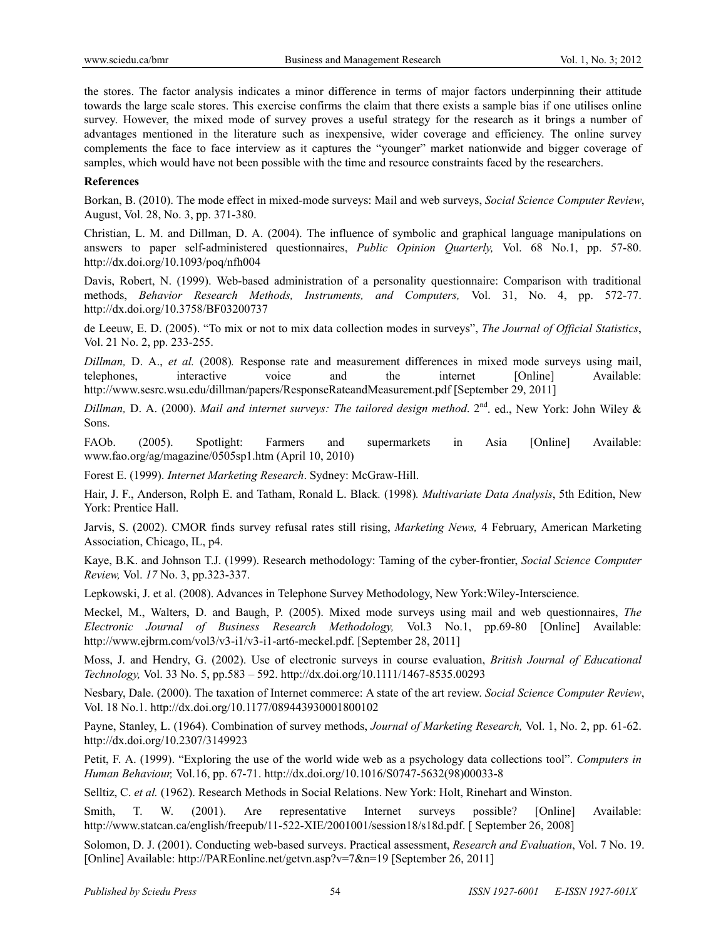the stores. The factor analysis indicates a minor difference in terms of major factors underpinning their attitude towards the large scale stores. This exercise confirms the claim that there exists a sample bias if one utilises online survey. However, the mixed mode of survey proves a useful strategy for the research as it brings a number of advantages mentioned in the literature such as inexpensive, wider coverage and efficiency. The online survey complements the face to face interview as it captures the "younger" market nationwide and bigger coverage of samples, which would have not been possible with the time and resource constraints faced by the researchers.

#### **References**

Borkan, B. (2010). The mode effect in mixed-mode surveys: Mail and web surveys, *Social Science Computer Review*, August, Vol. 28, No. 3, pp. 371-380.

Christian, L. M. and Dillman, D. A. (2004). The influence of symbolic and graphical language manipulations on answers to paper self-administered questionnaires, *Public Opinion Quarterly,* Vol. 68 No.1, pp. 57-80. http://dx.doi.org/10.1093/poq/nfh004

Davis, Robert, N. (1999). Web-based administration of a personality questionnaire: Comparison with traditional methods, *Behavior Research Methods, Instruments, and Computers,* Vol. 31, No. 4, pp. 572-77. http://dx.doi.org/10.3758/BF03200737

de Leeuw, E. D. (2005). "To mix or not to mix data collection modes in surveys", *The Journal of Official Statistics*, Vol. 21 No. 2, pp. 233-255.

*Dillman, D. A., et al.* (2008). Response rate and measurement differences in mixed mode surveys using mail, telephones, interactive voice and the internet [Online] Available: http://www.sesrc.wsu.edu/dillman/papers/ResponseRateandMeasurement.pdf [September 29, 2011]

*Dillman, D. A. (2000). Mail and internet surveys: The tailored design method.* 2<sup>nd</sup>. ed., New York: John Wiley & Sons.

FAOb. (2005). Spotlight: Farmers and supermarkets in Asia [Online] Available: www.fao.org/ag/magazine/0505sp1.htm (April 10, 2010)

Forest E. (1999). *Internet Marketing Research*. Sydney: McGraw-Hill.

Hair, J. F., Anderson, Rolph E. and Tatham, Ronald L. Black*.* (1998)*. Multivariate Data Analysis*, 5th Edition, New York: Prentice Hall.

Jarvis, S. (2002). CMOR finds survey refusal rates still rising, *Marketing News,* 4 February, American Marketing Association, Chicago, IL, p4.

Kaye, B.K. and Johnson T.J. (1999). Research methodology: Taming of the cyber-frontier, *Social Science Computer Review,* Vol. *17* No. 3, pp.323-337.

Lepkowski, J. et al. (2008). Advances in Telephone Survey Methodology, New York:Wiley-Interscience.

Meckel, M., Walters, D. and Baugh, P. (2005). Mixed mode surveys using mail and web questionnaires, *The Electronic Journal of Business Research Methodology,* Vol.3 No.1, pp.69-80 [Online] Available: http://www.ejbrm.com/vol3/v3-i1/v3-i1-art6-meckel.pdf. [September 28, 2011]

Moss, J. and Hendry, G. (2002). Use of electronic surveys in course evaluation, *British Journal of Educational Technology,* Vol. 33 No. 5, pp.583 – 592. http://dx.doi.org/10.1111/1467-8535.00293

Nesbary, Dale. (2000). The taxation of Internet commerce: A state of the art review. *Social Science Computer Review*, Vol. 18 No.1. http://dx.doi.org/10.1177/089443930001800102

Payne, Stanley, L. (1964). Combination of survey methods, *Journal of Marketing Research,* Vol. 1, No. 2, pp. 61-62. http://dx.doi.org/10.2307/3149923

Petit, F. A. (1999). "Exploring the use of the world wide web as a psychology data collections tool". *Computers in Human Behaviour,* Vol.16, pp. 67-71. http://dx.doi.org/10.1016/S0747-5632(98)00033-8

Selltiz, C. *et al.* (1962). Research Methods in Social Relations. New York: Holt, Rinehart and Winston.

Smith, T. W. (2001). Are representative Internet surveys possible? [Online] Available: http://www.statcan.ca/english/freepub/11-522-XIE/2001001/session18/s18d.pdf. [ September 26, 2008]

Solomon, D. J. (2001). Conducting web-based surveys. Practical assessment, *Research and Evaluation*, Vol. 7 No. 19. [Online] Available: http://PAREonline.net/getvn.asp?v=7&n=19 [September 26, 2011]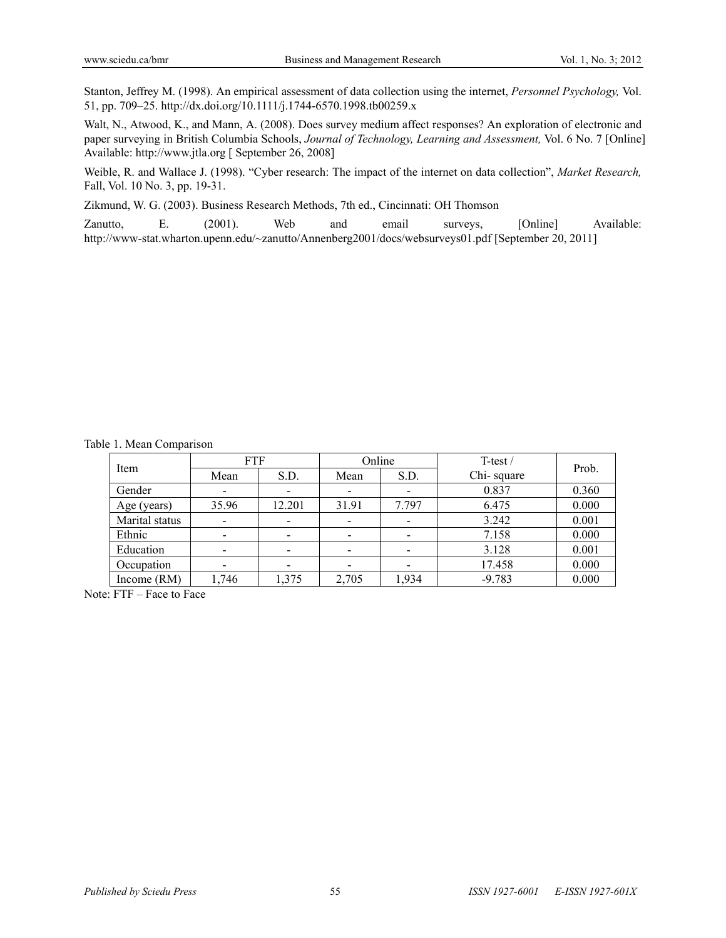Stanton, Jeffrey M. (1998). An empirical assessment of data collection using the internet, *Personnel Psychology,* Vol. 51, pp. 709–25. http://dx.doi.org/10.1111/j.1744-6570.1998.tb00259.x

Walt, N., Atwood, K., and Mann, A. (2008). Does survey medium affect responses? An exploration of electronic and paper surveying in British Columbia Schools, *Journal of Technology, Learning and Assessment,* Vol. 6 No. 7 [Online] Available: http://www.jtla.org [ September 26, 2008]

Weible, R. and Wallace J. (1998). "Cyber research: The impact of the internet on data collection", *Market Research,*  Fall, Vol. 10 No. 3, pp. 19-31.

Zikmund, W. G. (2003). Business Research Methods, 7th ed., Cincinnati: OH Thomson

Zanutto, E. (2001). Web and email surveys, [Online] Available: http://www-stat.wharton.upenn.edu/~zanutto/Annenberg2001/docs/websurveys01.pdf [September 20, 2011]

Table 1. Mean Comparison

| Item           | <b>FTF</b>               |        | Online |                          | $T-test /$ |       |
|----------------|--------------------------|--------|--------|--------------------------|------------|-------|
|                | Mean                     | S.D.   | Mean   | S.D.                     | Chi-square | Prob. |
| Gender         | $\overline{\phantom{0}}$ |        |        | $\overline{\phantom{0}}$ | 0.837      | 0.360 |
| Age (years)    | 35.96                    | 12.201 | 31.91  | 7.797                    | 6.475      | 0.000 |
| Marital status | $\overline{\phantom{0}}$ |        |        |                          | 3.242      | 0.001 |
| Ethnic         |                          |        |        | $\overline{\phantom{a}}$ | 7.158      | 0.000 |
| Education      |                          |        |        |                          | 3.128      | 0.001 |
| Occupation     |                          |        |        |                          | 17.458     | 0.000 |
| Income $(RM)$  | 1,746                    | 1,375  | 2,705  | 1,934                    | $-9.783$   | 0.000 |

Note: FTF – Face to Face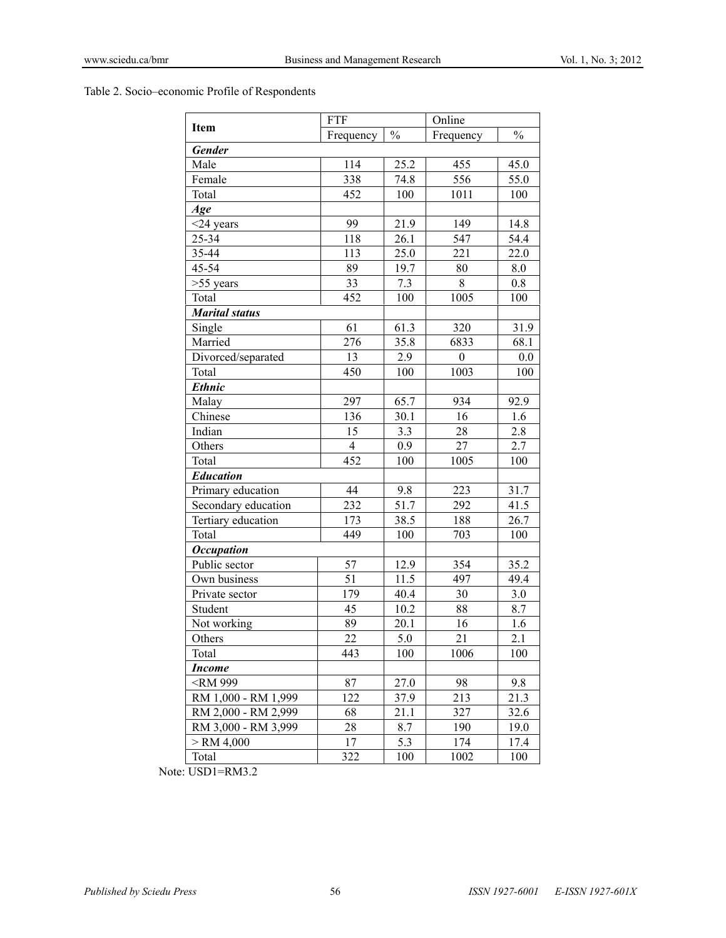## Table 2. Socio–economic Profile of Respondents

|                                                                        | <b>FTF</b>      |               | Online           |               |  |
|------------------------------------------------------------------------|-----------------|---------------|------------------|---------------|--|
| Item                                                                   | Frequency       | $\frac{0}{0}$ | Frequency        | $\frac{0}{0}$ |  |
| <b>Gender</b>                                                          |                 |               |                  |               |  |
| Male                                                                   | 114             | 25.2          | 455              | 45.0          |  |
| Female                                                                 | 338             | 74.8          | 556              | 55.0          |  |
| Total                                                                  | 452             | 100           | 1011             | 100           |  |
| Age                                                                    |                 |               |                  |               |  |
| $<$ 24 years                                                           | 99              | 21.9          | 149              | 14.8          |  |
| 25-34                                                                  | 118             | 26.1          | 547              | 54.4          |  |
| 35-44                                                                  | 113             | 25.0          | 221              | 22.0          |  |
| 45-54                                                                  | 89              | 19.7          | 80               | $8.0\,$       |  |
| >55 years                                                              | 33              | 7.3           | $8\,$            | 0.8           |  |
| Total                                                                  | 452             | 100           | 1005             | 100           |  |
| <b>Marital status</b>                                                  |                 |               |                  |               |  |
| Single                                                                 | 61              | 61.3          | 320              | 31.9          |  |
| Married                                                                | 276             | 35.8          | 6833             | 68.1          |  |
| Divorced/separated                                                     | 13              | 2.9           | $\boldsymbol{0}$ | 0.0           |  |
| Total                                                                  | 450             | 100           | 1003             | 100           |  |
| <b>Ethnic</b>                                                          |                 |               |                  |               |  |
| Malay                                                                  | 297             | 65.7          | 934              | 92.9          |  |
| Chinese                                                                | 136             | 30.1          | 16               | 1.6           |  |
| Indian                                                                 | 15              | 3.3           | 28               | 2.8           |  |
| Others                                                                 | $\overline{4}$  | 0.9           | 27               | 2.7           |  |
| Total                                                                  | 452             | 100           | 1005             | 100           |  |
| <b>Education</b>                                                       |                 |               |                  |               |  |
| Primary education                                                      | 44              | 9.8           | 223              | 31.7          |  |
| Secondary education                                                    | 232             | 51.7          | 292              | 41.5          |  |
| Tertiary education                                                     | 173             | 38.5          | 188              | 26.7          |  |
| Total                                                                  | 449             | 100           | 703              | 100           |  |
| <b>Occupation</b>                                                      |                 |               |                  |               |  |
| Public sector                                                          | 57              | 12.9          | 354              | 35.2          |  |
| Own business                                                           | $\overline{51}$ | 11.5          | 497              | 49.4          |  |
| Private sector                                                         | 179             | 40.4          | 30               | 3.0           |  |
| Student                                                                | 45              | 10.2          | 88               | 8.7           |  |
| Not working                                                            | 89              | 20.1          | 16               | 1.6           |  |
| Others                                                                 | 22              | 5.0           | 21               | 2.1           |  |
| Total                                                                  | 443             | 100           | 1006             | 100           |  |
| <b>Income</b>                                                          |                 |               |                  |               |  |
| <rm 999<="" td=""><td>87</td><td>27.0</td><td>98</td><td>9.8</td></rm> | 87              | 27.0          | 98               | 9.8           |  |
| RM 1,000 - RM 1,999                                                    | 122             | 37.9          | 213              | 21.3          |  |
| RM 2,000 - RM 2,999                                                    | 68              | 21.1          | 327              | 32.6          |  |
| RM 3,000 - RM 3,999                                                    | 28              | 8.7           | 190              | 19.0          |  |
| $>$ RM 4,000                                                           | 17              | 5.3           | 174              | 17.4          |  |
| Total                                                                  | 322             | 100           | 1002             | 100           |  |

Note: USD1=RM3.2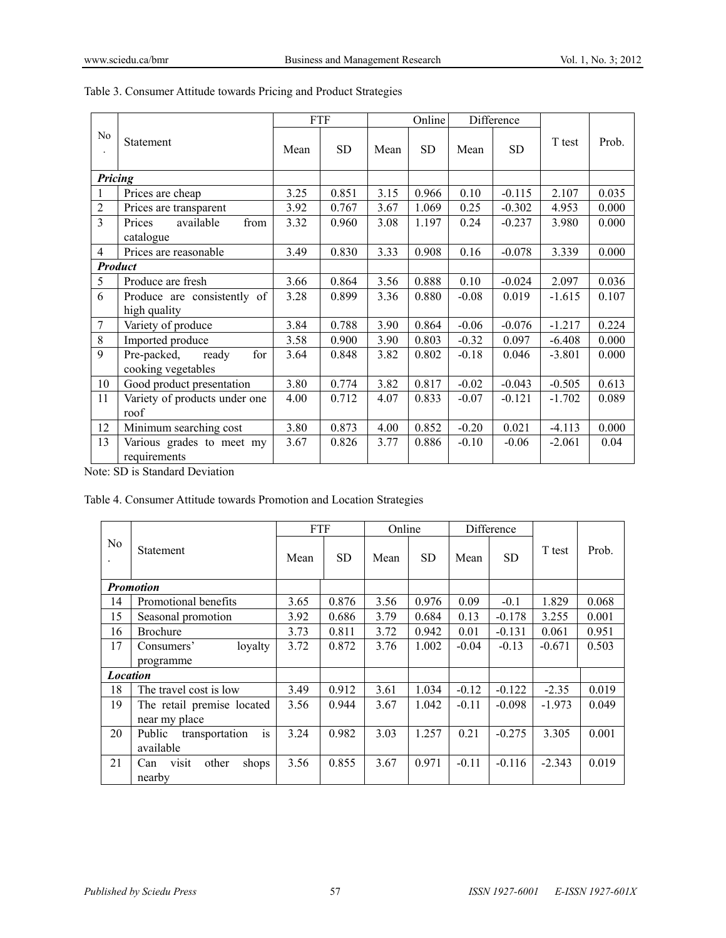|                 |                                                   |      | <b>FTF</b> |      | Online    |         | Difference |          |       |
|-----------------|---------------------------------------------------|------|------------|------|-----------|---------|------------|----------|-------|
| No<br>$\bullet$ | Statement                                         | Mean | <b>SD</b>  | Mean | <b>SD</b> | Mean    | <b>SD</b>  | T test   | Prob. |
| Pricing         |                                                   |      |            |      |           |         |            |          |       |
| 1               | Prices are cheap                                  | 3.25 | 0.851      | 3.15 | 0.966     | 0.10    | $-0.115$   | 2.107    | 0.035 |
| $\overline{2}$  | Prices are transparent                            | 3.92 | 0.767      | 3.67 | 1.069     | 0.25    | $-0.302$   | 4.953    | 0.000 |
| 3               | available<br>Prices<br>from                       | 3.32 | 0.960      | 3.08 | 1.197     | 0.24    | $-0.237$   | 3.980    | 0.000 |
|                 | catalogue                                         |      |            |      |           |         |            |          |       |
| $\overline{4}$  | Prices are reasonable                             | 3.49 | 0.830      | 3.33 | 0.908     | 0.16    | $-0.078$   | 3.339    | 0.000 |
| <b>Product</b>  |                                                   |      |            |      |           |         |            |          |       |
| 5               | Produce are fresh                                 | 3.66 | 0.864      | 3.56 | 0.888     | 0.10    | $-0.024$   | 2.097    | 0.036 |
| 6               | Produce are consistently of                       | 3.28 | 0.899      | 3.36 | 0.880     | $-0.08$ | 0.019      | $-1.615$ | 0.107 |
|                 | high quality                                      |      |            |      |           |         |            |          |       |
| 7               | Variety of produce                                | 3.84 | 0.788      | 3.90 | 0.864     | $-0.06$ | $-0.076$   | $-1.217$ | 0.224 |
| $8\,$           | Imported produce                                  | 3.58 | 0.900      | 3.90 | 0.803     | $-0.32$ | 0.097      | $-6.408$ | 0.000 |
| 9               | for<br>Pre-packed,<br>ready<br>cooking vegetables | 3.64 | 0.848      | 3.82 | 0.802     | $-0.18$ | 0.046      | $-3.801$ | 0.000 |
| 10              | Good product presentation                         | 3.80 | 0.774      | 3.82 | 0.817     | $-0.02$ | $-0.043$   | $-0.505$ | 0.613 |
| 11              | Variety of products under one                     | 4.00 | 0.712      | 4.07 | 0.833     | $-0.07$ | $-0.121$   | $-1.702$ | 0.089 |
|                 | roof                                              |      |            |      |           |         |            |          |       |
| 12              | Minimum searching cost                            | 3.80 | 0.873      | 4.00 | 0.852     | $-0.20$ | 0.021      | $-4.113$ | 0.000 |
| 13              | Various grades to meet my<br>requirements         | 3.67 | 0.826      | 3.77 | 0.886     | $-0.10$ | $-0.06$    | $-2.061$ | 0.04  |

| Table 3. Consumer Attitude towards Pricing and Product Strategies |  |  |  |
|-------------------------------------------------------------------|--|--|--|
|                                                                   |  |  |  |

Note: SD is Standard Deviation

| Table 4. Consumer Attitude towards Promotion and Location Strategies |
|----------------------------------------------------------------------|
|----------------------------------------------------------------------|

|                 |                                                  |      | <b>FTF</b> | Online |       |         | Difference |          |       |
|-----------------|--------------------------------------------------|------|------------|--------|-------|---------|------------|----------|-------|
| N <sub>0</sub>  | <b>Statement</b>                                 | Mean | SD         | Mean   | SD    | Mean    | SD         | T test   | Prob. |
|                 | <b>Promotion</b>                                 |      |            |        |       |         |            |          |       |
| 14              | Promotional benefits                             | 3.65 | 0.876      | 3.56   | 0.976 | 0.09    | $-0.1$     | 1.829    | 0.068 |
| 15              | Seasonal promotion                               | 3.92 | 0.686      | 3.79   | 0.684 | 0.13    | $-0.178$   | 3.255    | 0.001 |
| 16              | <b>Brochure</b>                                  | 3.73 | 0.811      | 3.72   | 0.942 | 0.01    | $-0.131$   | 0.061    | 0.951 |
| 17              | Consumers'<br>loyalty                            | 3.72 | 0.872      | 3.76   | 1.002 | $-0.04$ | $-0.13$    | $-0.671$ | 0.503 |
|                 | programme                                        |      |            |        |       |         |            |          |       |
| <b>Location</b> |                                                  |      |            |        |       |         |            |          |       |
| 18              | The travel cost is low                           | 3.49 | 0.912      | 3.61   | 1.034 | $-0.12$ | $-0.122$   | $-2.35$  | 0.019 |
| 19              | The retail premise located                       | 3.56 | 0.944      | 3.67   | 1.042 | $-0.11$ | $-0.098$   | $-1.973$ | 0.049 |
|                 | near my place                                    |      |            |        |       |         |            |          |       |
| 20              | <b>Public</b><br>transportation<br><sup>is</sup> | 3.24 | 0.982      | 3.03   | 1.257 | 0.21    | $-0.275$   | 3.305    | 0.001 |
|                 | available                                        |      |            |        |       |         |            |          |       |
| 21              | other<br>visit<br>shops<br>Can                   | 3.56 | 0.855      | 3.67   | 0.971 | $-0.11$ | $-0.116$   | $-2.343$ | 0.019 |
|                 | nearby                                           |      |            |        |       |         |            |          |       |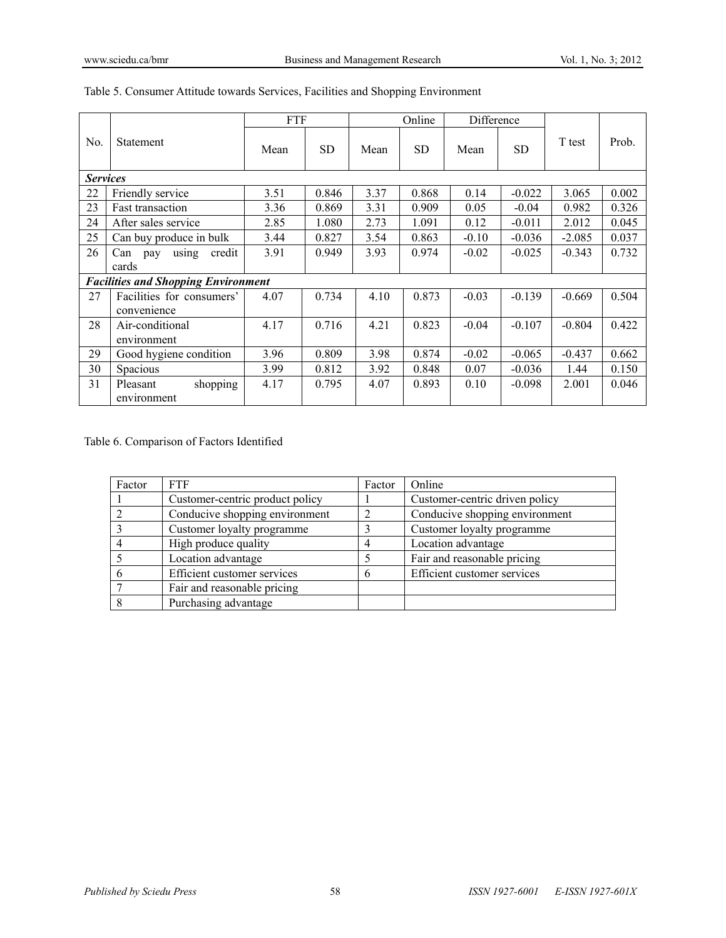|                 |                                            | <b>FTF</b> |           |      | Online | Difference |           |          |       |
|-----------------|--------------------------------------------|------------|-----------|------|--------|------------|-----------|----------|-------|
| No.             | <b>Statement</b>                           | Mean       | <b>SD</b> | Mean | SD.    | Mean       | <b>SD</b> | T test   | Prob. |
| <b>Services</b> |                                            |            |           |      |        |            |           |          |       |
| 22              | Friendly service                           | 3.51       | 0.846     | 3.37 | 0.868  | 0.14       | $-0.022$  | 3.065    | 0.002 |
| 23              | <b>Fast transaction</b>                    | 3.36       | 0.869     | 3.31 | 0.909  | 0.05       | $-0.04$   | 0.982    | 0.326 |
| 24              | After sales service                        | 2.85       | 1.080     | 2.73 | 1.091  | 0.12       | $-0.011$  | 2.012    | 0.045 |
| 25              | Can buy produce in bulk                    | 3.44       | 0.827     | 3.54 | 0.863  | $-0.10$    | $-0.036$  | $-2.085$ | 0.037 |
| 26              | Can pay using credit                       | 3.91       | 0.949     | 3.93 | 0.974  | $-0.02$    | $-0.025$  | $-0.343$ | 0.732 |
|                 | cards                                      |            |           |      |        |            |           |          |       |
|                 | <b>Facilities and Shopping Environment</b> |            |           |      |        |            |           |          |       |
| 27              | Facilities for consumers'                  | 4.07       | 0.734     | 4.10 | 0.873  | $-0.03$    | $-0.139$  | $-0.669$ | 0.504 |
|                 | convenience                                |            |           |      |        |            |           |          |       |
| 28              | Air-conditional                            | 4.17       | 0.716     | 4.21 | 0.823  | $-0.04$    | $-0.107$  | $-0.804$ | 0.422 |
|                 | environment                                |            |           |      |        |            |           |          |       |
| 29              | Good hygiene condition                     | 3.96       | 0.809     | 3.98 | 0.874  | $-0.02$    | $-0.065$  | $-0.437$ | 0.662 |
| 30              | Spacious                                   | 3.99       | 0.812     | 3.92 | 0.848  | 0.07       | $-0.036$  | 1.44     | 0.150 |
| 31              | shopping<br>Pleasant                       | 4.17       | 0.795     | 4.07 | 0.893  | 0.10       | $-0.098$  | 2.001    | 0.046 |
|                 | environment                                |            |           |      |        |            |           |          |       |

## Table 5. Consumer Attitude towards Services, Facilities and Shopping Environment

Table 6. Comparison of Factors Identified

| Factor | <b>FTF</b>                      | Factor | Online                         |
|--------|---------------------------------|--------|--------------------------------|
|        | Customer-centric product policy |        | Customer-centric driven policy |
|        | Conducive shopping environment  | ∍      | Conducive shopping environment |
|        | Customer loyalty programme      |        | Customer loyalty programme     |
|        | High produce quality            | 4      | Location advantage             |
|        | Location advantage              |        | Fair and reasonable pricing    |
|        | Efficient customer services     | O      | Efficient customer services    |
|        | Fair and reasonable pricing     |        |                                |
|        | Purchasing advantage            |        |                                |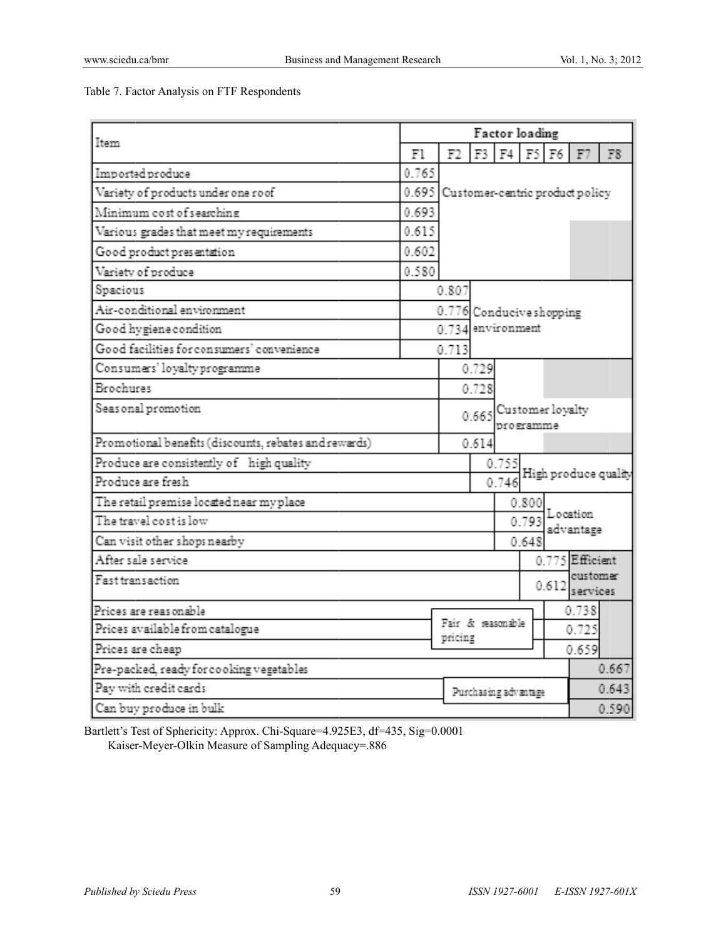# Table 7. Factor Analysis on FTF Respondents

| <b>Itam</b>                                           | Factor loading                        |                                       |       |       |       |             |                                          |                                        |
|-------------------------------------------------------|---------------------------------------|---------------------------------------|-------|-------|-------|-------------|------------------------------------------|----------------------------------------|
|                                                       | F1                                    | F2                                    |       |       |       | F3 F4 F5 F6 |                                          | F8                                     |
| Imported produce                                      | 0.765                                 |                                       |       |       |       |             |                                          |                                        |
| Variety of products under one roof                    | 0.695 Customer-centric product policy |                                       |       |       |       |             |                                          |                                        |
| Minimum cost of searching                             | 0.693                                 |                                       |       |       |       |             |                                          |                                        |
| Various grades that meet my requirements              | 0.615                                 |                                       |       |       |       |             |                                          |                                        |
| Good product presentation                             | 0.602                                 |                                       |       |       |       |             |                                          |                                        |
| Variety of produce                                    | 0.580                                 |                                       |       |       |       |             |                                          |                                        |
| Spacious                                              |                                       | 0.807                                 |       |       |       |             |                                          |                                        |
| Air-conditional environment                           |                                       | 0.776 Conducive shopping              |       |       |       |             |                                          |                                        |
| Good hygiene condition                                |                                       | 0.734 environment                     |       |       |       |             |                                          |                                        |
| Good facilities for consumers' convenience            |                                       | 0.713                                 |       |       |       |             |                                          |                                        |
| Consumers' loyalty programme                          |                                       |                                       | 0.729 |       |       |             |                                          |                                        |
| Brochures                                             |                                       |                                       | 0.728 |       |       |             |                                          |                                        |
| Seasonal promotion                                    |                                       | 0.665 Customer loyalty<br>programme   |       |       |       |             |                                          |                                        |
| Promotional benefits (discounts, rebates and rewards) |                                       | 0.614                                 |       |       |       |             |                                          |                                        |
| Produce are consistently of high quality              |                                       |                                       |       | 0.755 |       |             |                                          |                                        |
| Produce are fresh                                     |                                       |                                       |       |       |       |             |                                          | $\frac{1}{0.746}$ High produce quality |
| The retail premise located near my place              |                                       |                                       |       |       | 0.800 |             |                                          |                                        |
| The travel cost is low                                |                                       |                                       |       |       |       |             | $\overline{0.793}$ Location<br>advantage |                                        |
| Can visit other shops nearby                          |                                       |                                       |       |       | 0.648 |             |                                          |                                        |
| After sale service                                    |                                       |                                       |       |       |       |             | 0.775 Efficient                          |                                        |
| Fast transaction                                      |                                       |                                       |       |       |       |             | $\overline{0.612}$ customer              |                                        |
| Prices are reasonable                                 |                                       |                                       |       |       |       |             | 0.738                                    |                                        |
| Prices available from catalogue                       |                                       | Fair & reasonable<br>0.725<br>pricing |       |       |       |             |                                          |                                        |
| Prices are cheap                                      |                                       | 0.659                                 |       |       |       |             |                                          |                                        |
| Pre-packed, ready for cooking vegetables              |                                       |                                       |       |       |       |             |                                          | 0.667                                  |
| Pay with credit cards                                 |                                       | 0.643<br>Purchasing advantage         |       |       |       |             |                                          |                                        |
| Can buy produce in bulk                               |                                       |                                       |       |       |       |             |                                          | 0.590                                  |

Bartlett's Test of Sphericity: Approx. Chi-Square=4.925E3, df=435, Sig=0.0001 Kaiser-Meyer-Olkin Measure of Sampling Adequacy=.886